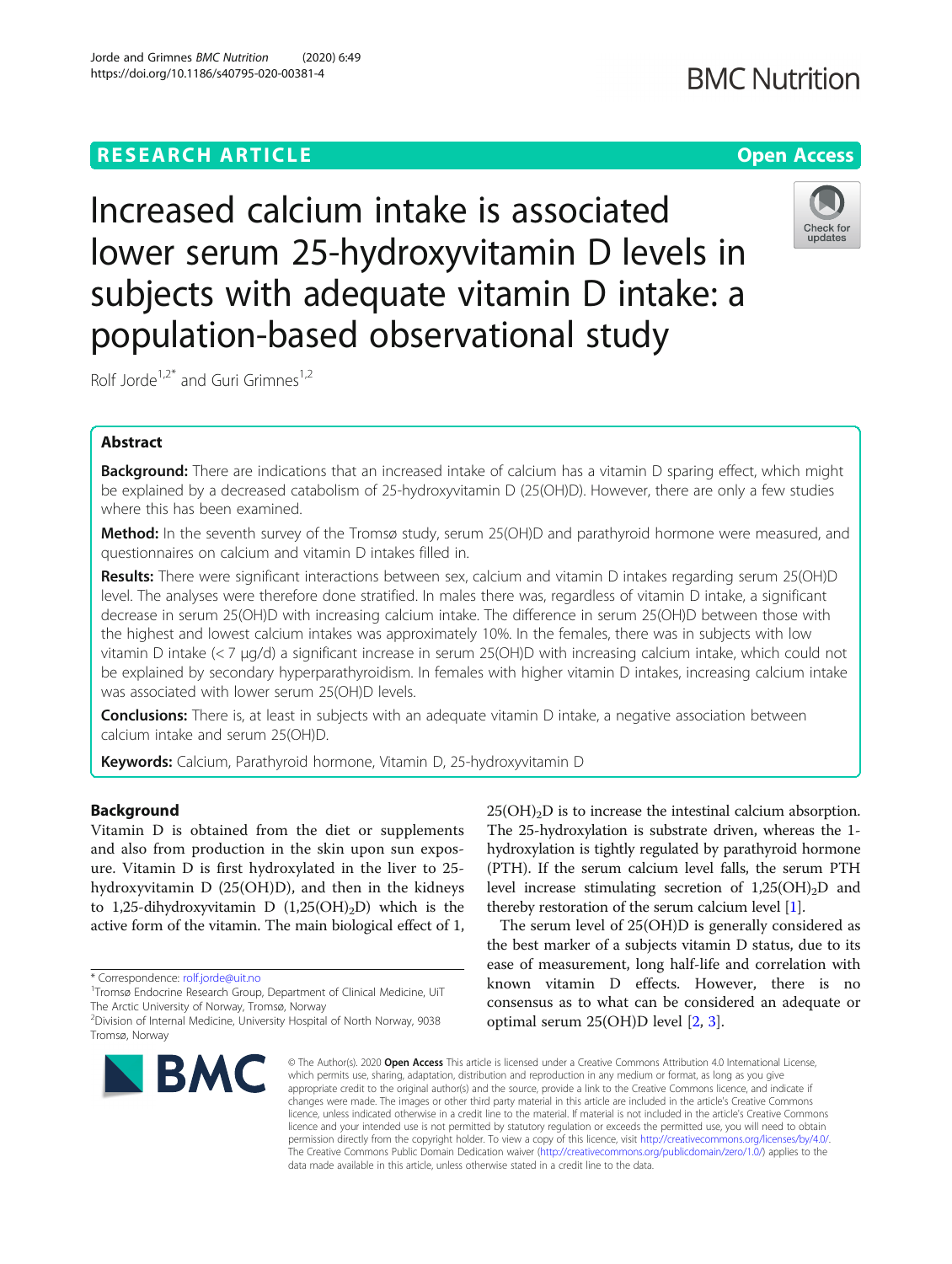Increased calcium intake is associated lower serum 25-hydroxyvitamin D levels in subjects with adequate vitamin D intake: a population-based observational study

Rolf Jorde<sup>1,2\*</sup> and Guri Grimnes<sup>1,2</sup>

# Abstract

Background: There are indications that an increased intake of calcium has a vitamin D sparing effect, which might be explained by a decreased catabolism of 25-hydroxyvitamin D (25(OH)D). However, there are only a few studies where this has been examined.

**Method:** In the seventh survey of the Tromsø study, serum 25(OH)D and parathyroid hormone were measured, and questionnaires on calcium and vitamin D intakes filled in.

Results: There were significant interactions between sex, calcium and vitamin D intakes regarding serum 25(OH)D level. The analyses were therefore done stratified. In males there was, regardless of vitamin D intake, a significant decrease in serum 25(OH)D with increasing calcium intake. The difference in serum 25(OH)D between those with the highest and lowest calcium intakes was approximately 10%. In the females, there was in subjects with low vitamin D intake (< 7 μg/d) a significant increase in serum 25(OH)D with increasing calcium intake, which could not be explained by secondary hyperparathyroidism. In females with higher vitamin D intakes, increasing calcium intake was associated with lower serum 25(OH)D levels.

**Conclusions:** There is, at least in subjects with an adequate vitamin D intake, a negative association between calcium intake and serum 25(OH)D.

Keywords: Calcium, Parathyroid hormone, Vitamin D, 25-hydroxyvitamin D

## Background

Vitamin D is obtained from the diet or supplements and also from production in the skin upon sun exposure. Vitamin D is first hydroxylated in the liver to 25 hydroxyvitamin D (25(OH)D), and then in the kidneys to 1,25-dihydroxyvitamin D  $(1,25(OH)_2D)$  which is the active form of the vitamin. The main biological effect of 1,

\* Correspondence: [rolf.jorde@uit.no](mailto:rolf.jorde@uit.no) <sup>1</sup>

 $25(OH)<sub>2</sub>D$  is to increase the intestinal calcium absorption. The 25-hydroxylation is substrate driven, whereas the 1 hydroxylation is tightly regulated by parathyroid hormone (PTH). If the serum calcium level falls, the serum PTH level increase stimulating secretion of  $1,25(OH)_2D$  and thereby restoration of the serum calcium level [\[1\]](#page-7-0).

The serum level of 25(OH)D is generally considered as the best marker of a subjects vitamin D status, due to its ease of measurement, long half-life and correlation with known vitamin D effects. However, there is no consensus as to what can be considered an adequate or optimal serum 25(OH)D level [\[2](#page-7-0), [3](#page-7-0)].

© The Author(s), 2020 **Open Access** This article is licensed under a Creative Commons Attribution 4.0 International License, which permits use, sharing, adaptation, distribution and reproduction in any medium or format, as long as you give appropriate credit to the original author(s) and the source, provide a link to the Creative Commons licence, and indicate if changes were made. The images or other third party material in this article are included in the article's Creative Commons licence, unless indicated otherwise in a credit line to the material. If material is not included in the article's Creative Commons licence and your intended use is not permitted by statutory regulation or exceeds the permitted use, you will need to obtain permission directly from the copyright holder. To view a copy of this licence, visit [http://creativecommons.org/licenses/by/4.0/.](http://creativecommons.org/licenses/by/4.0/) The Creative Commons Public Domain Dedication waiver [\(http://creativecommons.org/publicdomain/zero/1.0/](http://creativecommons.org/publicdomain/zero/1.0/)) applies to the data made available in this article, unless otherwise stated in a credit line to the data.

Tromsø Endocrine Research Group, Department of Clinical Medicine, UiT The Arctic University of Norway, Tromsø, Norway







<sup>2</sup> Division of Internal Medicine, University Hospital of North Norway, 9038 Tromsø, Norway

**RESEARCH ARTICLE Example 2014 12:30 The Contract of Contract ACCESS**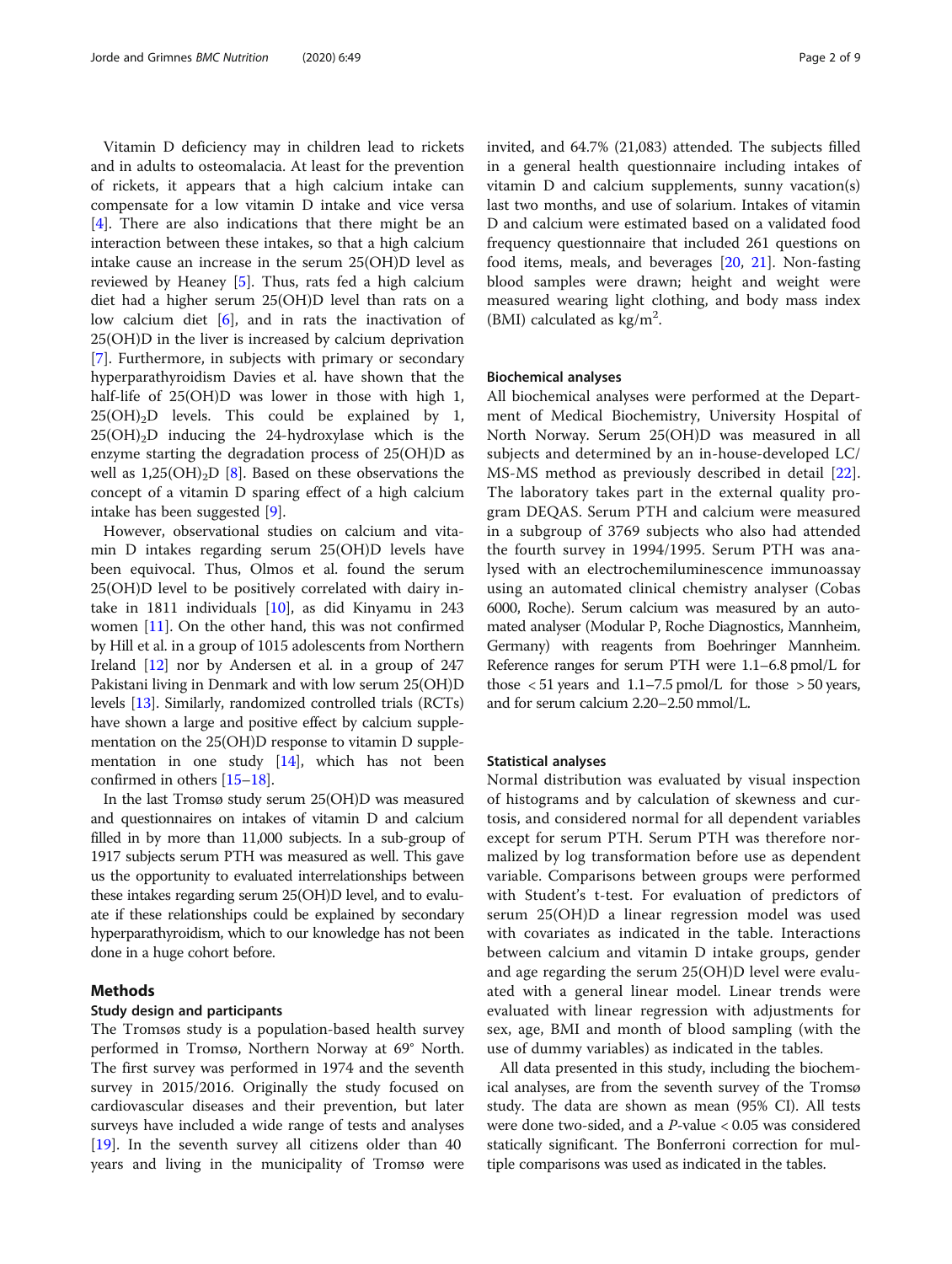Vitamin D deficiency may in children lead to rickets and in adults to osteomalacia. At least for the prevention of rickets, it appears that a high calcium intake can compensate for a low vitamin D intake and vice versa [[4\]](#page-8-0). There are also indications that there might be an interaction between these intakes, so that a high calcium intake cause an increase in the serum 25(OH)D level as reviewed by Heaney [\[5](#page-8-0)]. Thus, rats fed a high calcium diet had a higher serum 25(OH)D level than rats on a low calcium diet  $[6]$  $[6]$ , and in rats the inactivation of 25(OH)D in the liver is increased by calcium deprivation [[7\]](#page-8-0). Furthermore, in subjects with primary or secondary hyperparathyroidism Davies et al. have shown that the half-life of 25(OH)D was lower in those with high 1,  $25(OH)<sub>2</sub>D$  levels. This could be explained by 1,  $25(OH)<sub>2</sub>D$  inducing the 24-hydroxylase which is the enzyme starting the degradation process of 25(OH)D as well as  $1,25(OH)_{2}D$  [[8\]](#page-8-0). Based on these observations the concept of a vitamin D sparing effect of a high calcium intake has been suggested [[9\]](#page-8-0).

However, observational studies on calcium and vitamin D intakes regarding serum 25(OH)D levels have been equivocal. Thus, Olmos et al. found the serum 25(OH)D level to be positively correlated with dairy intake in 1811 individuals [[10\]](#page-8-0), as did Kinyamu in 243 women [\[11\]](#page-8-0). On the other hand, this was not confirmed by Hill et al. in a group of 1015 adolescents from Northern Ireland [\[12\]](#page-8-0) nor by Andersen et al. in a group of 247 Pakistani living in Denmark and with low serum 25(OH)D levels [[13](#page-8-0)]. Similarly, randomized controlled trials (RCTs) have shown a large and positive effect by calcium supplementation on the 25(OH)D response to vitamin D supplementation in one study [\[14\]](#page-8-0), which has not been confirmed in others [\[15](#page-8-0)–[18\]](#page-8-0).

In the last Tromsø study serum 25(OH)D was measured and questionnaires on intakes of vitamin D and calcium filled in by more than 11,000 subjects. In a sub-group of 1917 subjects serum PTH was measured as well. This gave us the opportunity to evaluated interrelationships between these intakes regarding serum 25(OH)D level, and to evaluate if these relationships could be explained by secondary hyperparathyroidism, which to our knowledge has not been done in a huge cohort before.

# Methods

## Study design and participants

The Tromsøs study is a population-based health survey performed in Tromsø, Northern Norway at 69° North. The first survey was performed in 1974 and the seventh survey in 2015/2016. Originally the study focused on cardiovascular diseases and their prevention, but later surveys have included a wide range of tests and analyses [[19\]](#page-8-0). In the seventh survey all citizens older than 40 years and living in the municipality of Tromsø were invited, and 64.7% (21,083) attended. The subjects filled in a general health questionnaire including intakes of vitamin D and calcium supplements, sunny vacation(s) last two months, and use of solarium. Intakes of vitamin D and calcium were estimated based on a validated food frequency questionnaire that included 261 questions on food items, meals, and beverages [[20](#page-8-0), [21](#page-8-0)]. Non-fasting blood samples were drawn; height and weight were measured wearing light clothing, and body mass index (BMI) calculated as kg/m<sup>2</sup>.

## Biochemical analyses

All biochemical analyses were performed at the Department of Medical Biochemistry, University Hospital of North Norway. Serum 25(OH)D was measured in all subjects and determined by an in-house-developed LC/ MS-MS method as previously described in detail [\[22](#page-8-0)]. The laboratory takes part in the external quality program DEQAS. Serum PTH and calcium were measured in a subgroup of 3769 subjects who also had attended the fourth survey in 1994/1995. Serum PTH was analysed with an electrochemiluminescence immunoassay using an automated clinical chemistry analyser (Cobas 6000, Roche). Serum calcium was measured by an automated analyser (Modular P, Roche Diagnostics, Mannheim, Germany) with reagents from Boehringer Mannheim. Reference ranges for serum PTH were 1.1–6.8 pmol/L for those  $\langle 51 \rangle$  years and 1.1–7.5 pmol/L for those  $> 50 \rangle$  years, and for serum calcium 2.20–2.50 mmol/L.

#### Statistical analyses

Normal distribution was evaluated by visual inspection of histograms and by calculation of skewness and curtosis, and considered normal for all dependent variables except for serum PTH. Serum PTH was therefore normalized by log transformation before use as dependent variable. Comparisons between groups were performed with Student's t-test. For evaluation of predictors of serum 25(OH)D a linear regression model was used with covariates as indicated in the table. Interactions between calcium and vitamin D intake groups, gender and age regarding the serum 25(OH)D level were evaluated with a general linear model. Linear trends were evaluated with linear regression with adjustments for sex, age, BMI and month of blood sampling (with the use of dummy variables) as indicated in the tables.

All data presented in this study, including the biochemical analyses, are from the seventh survey of the Tromsø study. The data are shown as mean (95% CI). All tests were done two-sided, and a P-value < 0.05 was considered statically significant. The Bonferroni correction for multiple comparisons was used as indicated in the tables.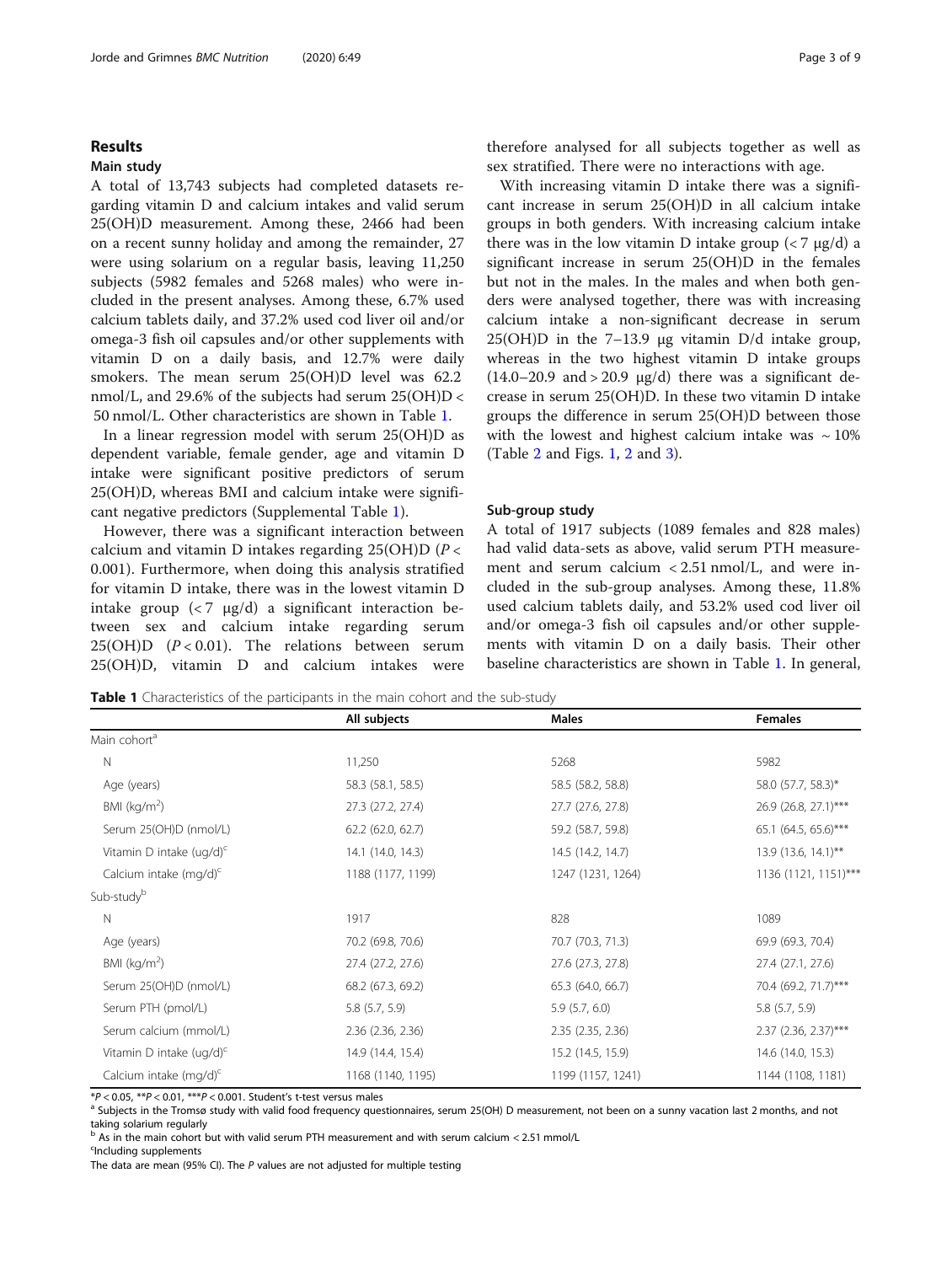## Results

## Main study

A total of 13,743 subjects had completed datasets regarding vitamin D and calcium intakes and valid serum 25(OH)D measurement. Among these, 2466 had been on a recent sunny holiday and among the remainder, 27 were using solarium on a regular basis, leaving 11,250 subjects (5982 females and 5268 males) who were included in the present analyses. Among these, 6.7% used calcium tablets daily, and 37.2% used cod liver oil and/or omega-3 fish oil capsules and/or other supplements with vitamin D on a daily basis, and 12.7% were daily smokers. The mean serum 25(OH)D level was 62.2 nmol/L, and 29.6% of the subjects had serum  $25(OH)D <$ 50 nmol/L. Other characteristics are shown in Table 1.

In a linear regression model with serum 25(OH)D as dependent variable, female gender, age and vitamin D intake were significant positive predictors of serum 25(OH)D, whereas BMI and calcium intake were significant negative predictors (Supplemental Table [1](#page-7-0)).

However, there was a significant interaction between calcium and vitamin D intakes regarding  $25(OH)D(P \lt c)$ 0.001). Furthermore, when doing this analysis stratified for vitamin D intake, there was in the lowest vitamin D intake group  $\left( < 7 \text{ µg/d} \right)$  a significant interaction between sex and calcium intake regarding serum 25(OH)D  $(P < 0.01)$ . The relations between serum 25(OH)D, vitamin D and calcium intakes were therefore analysed for all subjects together as well as sex stratified. There were no interactions with age.

With increasing vitamin D intake there was a significant increase in serum 25(OH)D in all calcium intake groups in both genders. With increasing calcium intake there was in the low vitamin D intake group  $\left($  < 7  $\mu$ g/d) a significant increase in serum 25(OH)D in the females but not in the males. In the males and when both genders were analysed together, there was with increasing calcium intake a non-significant decrease in serum 25(OH)D in the 7–13.9 μg vitamin D/d intake group, whereas in the two highest vitamin D intake groups  $(14.0-20.9 \text{ and } > 20.9 \text{ µg/d})$  there was a significant decrease in serum 25(OH)D. In these two vitamin D intake groups the difference in serum 25(OH)D between those with the lowest and highest calcium intake was  $\sim 10\%$ (Table [2](#page-3-0) and Figs. [1,](#page-4-0) [2](#page-4-0) and [3\)](#page-4-0).

## Sub-group study

A total of 1917 subjects (1089 females and 828 males) had valid data-sets as above, valid serum PTH measurement and serum calcium < 2.51 nmol/L, and were included in the sub-group analyses. Among these, 11.8% used calcium tablets daily, and 53.2% used cod liver oil and/or omega-3 fish oil capsules and/or other supplements with vitamin D on a daily basis. Their other baseline characteristics are shown in Table 1. In general,

**Table 1** Characteristics of the participants in the main cohort and the sub-study

|                                      | All subjects      | <b>Males</b>      | <b>Females</b>       |
|--------------------------------------|-------------------|-------------------|----------------------|
| Main cohort <sup>a</sup>             |                   |                   |                      |
| $\mathsf{N}$                         | 11,250            | 5268              | 5982                 |
| Age (years)                          | 58.3 (58.1, 58.5) | 58.5 (58.2, 58.8) | 58.0 (57.7, 58.3)*   |
| BMI ( $kg/m2$ )                      | 27.3 (27.2, 27.4) | 27.7 (27.6, 27.8) | 26.9 (26.8, 27.1)*** |
| Serum 25(OH)D (nmol/L)               | 62.2 (62.0, 62.7) | 59.2 (58.7, 59.8) | 65.1 (64.5, 65.6)*** |
| Vitamin D intake (ug/d) <sup>c</sup> | 14.1 (14.0, 14.3) | 14.5 (14.2, 14.7) | 13.9 (13.6, 14.1)**  |
| Calcium intake (mg/d) <sup>c</sup>   | 1188 (1177, 1199) | 1247 (1231, 1264) | 1136 (1121, 1151)*** |
| Sub-study <sup>b</sup>               |                   |                   |                      |
| N                                    | 1917              | 828               | 1089                 |
| Age (years)                          | 70.2 (69.8, 70.6) | 70.7 (70.3, 71.3) | 69.9 (69.3, 70.4)    |
| BMI ( $kg/m2$ )                      | 27.4 (27.2, 27.6) | 27.6 (27.3, 27.8) | 27.4 (27.1, 27.6)    |
| Serum 25(OH)D (nmol/L)               | 68.2 (67.3, 69.2) | 65.3 (64.0, 66.7) | 70.4 (69.2, 71.7)*** |
| Serum PTH (pmol/L)                   | 5.8(5.7, 5.9)     | 5.9(5.7, 6.0)     | $5.8$ $(5.7, 5.9)$   |
| Serum calcium (mmol/L)               | 2.36 (2.36, 2.36) | 2.35 (2.35, 2.36) | 2.37 (2.36, 2.37)*** |
| Vitamin D intake $(ug/d)^c$          | 14.9 (14.4, 15.4) | 15.2 (14.5, 15.9) | 14.6 (14.0, 15.3)    |
| Calcium intake (mg/d) <sup>c</sup>   | 1168 (1140, 1195) | 1199 (1157, 1241) | 1144 (1108, 1181)    |

\*P < 0.05, \*\*P < 0.01, \*\*\*P < 0.001. Student's t-test versus males and Substept and Tom 25(OH) D measurement, not been on a sunny vacation last 2 months, and not a Subjects in the Tromsø study with valid food frequency que taking solarium regularly

<sup>b</sup> As in the main cohort but with valid serum PTH measurement and with serum calcium < 2.51 mmol/L

<sup>c</sup>Including supplements

The data are mean (95% CI). The P values are not adjusted for multiple testing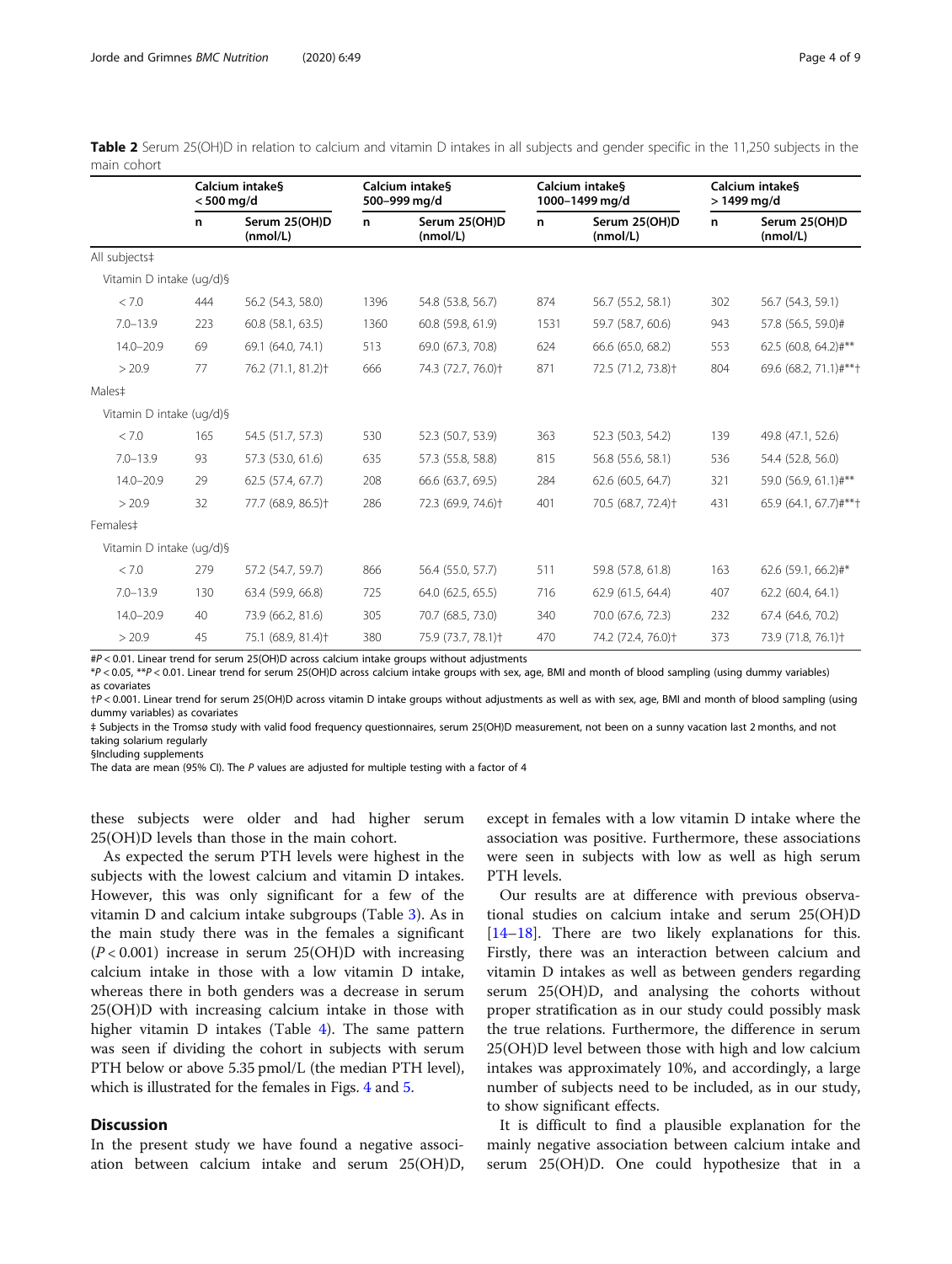<span id="page-3-0"></span>

| Table 2 Serum 25(OH)D in relation to calcium and vitamin D intakes in all subjects and gender specific in the 11,250 subjects in the |  |  |  |
|--------------------------------------------------------------------------------------------------------------------------------------|--|--|--|
| main cohort                                                                                                                          |  |  |  |

|                          | Calcium intake§<br>$< 500$ mg/d   |                                                                                                                                                                                                                                                                                                                                                                                                                                                            | Calcium intake§<br>500-999 mg/d |                                | Calcium intake§<br>1000-1499 mg/d |                                | Calcium intake§<br>$>1499$ mg/d |                                |
|--------------------------|-----------------------------------|------------------------------------------------------------------------------------------------------------------------------------------------------------------------------------------------------------------------------------------------------------------------------------------------------------------------------------------------------------------------------------------------------------------------------------------------------------|---------------------------------|--------------------------------|-----------------------------------|--------------------------------|---------------------------------|--------------------------------|
|                          | n                                 | Serum 25(OH)D<br>(mmol/L)                                                                                                                                                                                                                                                                                                                                                                                                                                  | n                               | Serum 25(OH)D<br>(mmol/L)      | n                                 | Serum 25(OH)D<br>(mmol/L)      | n                               | Serum 25(OH)D<br>(mmol/L)      |
| All subjects‡            |                                   |                                                                                                                                                                                                                                                                                                                                                                                                                                                            |                                 |                                |                                   |                                |                                 |                                |
| Vitamin D intake (ug/d)§ |                                   |                                                                                                                                                                                                                                                                                                                                                                                                                                                            |                                 |                                |                                   |                                |                                 |                                |
| < 7.0                    | 444                               | 56.2 (54.3, 58.0)                                                                                                                                                                                                                                                                                                                                                                                                                                          | 1396                            | 54.8 (53.8, 56.7)              | 874                               | 56.7 (55.2, 58.1)              | 302                             | 56.7 (54.3, 59.1)              |
| $7.0 - 13.9$             | 223                               | 60.8 (58.1, 63.5)                                                                                                                                                                                                                                                                                                                                                                                                                                          | 1360                            | 60.8 (59.8, 61.9)              | 1531                              | 59.7 (58.7, 60.6)              | 943                             | 57.8 (56.5, 59.0)#             |
| $14.0 - 20.9$            | 69                                | 69.1 (64.0, 74.1)                                                                                                                                                                                                                                                                                                                                                                                                                                          | 513                             | 69.0 (67.3, 70.8)              | 624                               | 66.6 (65.0, 68.2)              | 553                             | 62.5 (60.8, 64.2)#**           |
| > 20.9                   | 77                                | 76.2 (71.1, 81.2) <sup>+</sup>                                                                                                                                                                                                                                                                                                                                                                                                                             | 666                             | 74.3 (72.7, 76.0)+             | 871                               | 72.5 (71.2, 73.8)+             | 804                             | 69.6 (68.2, 71.1)#**†          |
| Males#                   |                                   |                                                                                                                                                                                                                                                                                                                                                                                                                                                            |                                 |                                |                                   |                                |                                 |                                |
| Vitamin D intake (ug/d)§ |                                   |                                                                                                                                                                                                                                                                                                                                                                                                                                                            |                                 |                                |                                   |                                |                                 |                                |
| < 7.0                    | 165                               | 54.5 (51.7, 57.3)                                                                                                                                                                                                                                                                                                                                                                                                                                          | 530                             | 52.3 (50.7, 53.9)              | 363                               | 52.3 (50.3, 54.2)              | 139                             | 49.8 (47.1, 52.6)              |
| $7.0 - 13.9$             | 93                                | 57.3 (53.0, 61.6)                                                                                                                                                                                                                                                                                                                                                                                                                                          | 635                             | 57.3 (55.8, 58.8)              | 815                               | 56.8 (55.6, 58.1)              | 536                             | 54.4 (52.8, 56.0)              |
| $14.0 - 20.9$            | 29                                | 62.5 (57.4, 67.7)                                                                                                                                                                                                                                                                                                                                                                                                                                          | 208                             | 66.6 (63.7, 69.5)              | 284                               | 62.6 (60.5, 64.7)              | 321                             | 59.0 (56.9, 61.1)#**           |
| > 20.9                   | 32                                | 77.7 (68.9, 86.5) <sup>+</sup>                                                                                                                                                                                                                                                                                                                                                                                                                             | 286                             | 72.3 (69.9, 74.6) <sup>+</sup> | 401                               | 70.5 (68.7, 72.4) <sup>+</sup> | 431                             | 65.9 (64.1, 67.7)#**+          |
| Females#                 |                                   |                                                                                                                                                                                                                                                                                                                                                                                                                                                            |                                 |                                |                                   |                                |                                 |                                |
| Vitamin D intake (ug/d)§ |                                   |                                                                                                                                                                                                                                                                                                                                                                                                                                                            |                                 |                                |                                   |                                |                                 |                                |
| < 7.0                    | 279                               | 57.2 (54.7, 59.7)                                                                                                                                                                                                                                                                                                                                                                                                                                          | 866                             | 56.4 (55.0, 57.7)              | 511                               | 59.8 (57.8, 61.8)              | 163                             | 62.6 (59.1, 66.2)#*            |
| $7.0 - 13.9$             | 130                               | 63.4 (59.9, 66.8)                                                                                                                                                                                                                                                                                                                                                                                                                                          | 725                             | 64.0 (62.5, 65.5)              | 716                               | 62.9 (61.5, 64.4)              | 407                             | 62.2 (60.4, 64.1)              |
| $14.0 - 20.9$            | 40                                | 73.9 (66.2, 81.6)                                                                                                                                                                                                                                                                                                                                                                                                                                          | 305                             | 70.7 (68.5, 73.0)              | 340                               | 70.0 (67.6, 72.3)              | 232                             | 67.4 (64.6, 70.2)              |
| > 20.9                   | 45<br>$\mathbf{1}$ $\mathbf{c}$ . | 75.1 (68.9, 81.4) <sup>+</sup><br>$\mathbf{A} = \mathbf{A} \mathbf{A} + \mathbf{B} \mathbf{A} + \mathbf{B} \mathbf{A} + \mathbf{B} \mathbf{A} + \mathbf{B} \mathbf{A} + \mathbf{B} \mathbf{A} + \mathbf{B} \mathbf{A} + \mathbf{B} \mathbf{A} + \mathbf{B} \mathbf{A} + \mathbf{B} \mathbf{A} + \mathbf{B} \mathbf{A} + \mathbf{B} \mathbf{A} + \mathbf{B} \mathbf{A} + \mathbf{B} \mathbf{A} + \mathbf{B} \mathbf{A} + \mathbf{B} \mathbf{A} + \mathbf{B$ | 380                             | 75.9 (73.7, 78.1) <sup>+</sup> | 470                               | 74.2 (72.4, 76.0)+             | 373                             | 73.9 (71.8, 76.1) <sup>+</sup> |

#P < 0.01. Linear trend for serum 25(OH)D across calcium intake groups without adjustments

\*P < 0.05, \*\*P < 0.01. Linear trend for serum 25(OH)D across calcium intake groups with sex, age, BMI and month of blood sampling (using dummy variables) as covariates

†P < 0.001. Linear trend for serum 25(OH)D across vitamin D intake groups without adjustments as well as with sex, age, BMI and month of blood sampling (using dummy variables) as covariates

‡ Subjects in the Tromsø study with valid food frequency questionnaires, serum 25(OH)D measurement, not been on a sunny vacation last 2 months, and not taking solarium regularly

§Including supplements

The data are mean (95% CI). The P values are adjusted for multiple testing with a factor of 4

these subjects were older and had higher serum 25(OH)D levels than those in the main cohort.

As expected the serum PTH levels were highest in the subjects with the lowest calcium and vitamin D intakes. However, this was only significant for a few of the vitamin D and calcium intake subgroups (Table [3\)](#page-5-0). As in the main study there was in the females a significant  $(P<0.001)$  increase in serum 25(OH)D with increasing calcium intake in those with a low vitamin D intake, whereas there in both genders was a decrease in serum 25(OH)D with increasing calcium intake in those with higher vitamin D intakes (Table [4](#page-6-0)). The same pattern was seen if dividing the cohort in subjects with serum PTH below or above 5.35 pmol/L (the median PTH level), which is illustrated for the females in Figs. [4](#page-7-0) and [5](#page-7-0).

## **Discussion**

In the present study we have found a negative association between calcium intake and serum 25(OH)D,

except in females with a low vitamin D intake where the association was positive. Furthermore, these associations were seen in subjects with low as well as high serum PTH levels.

Our results are at difference with previous observational studies on calcium intake and serum 25(OH)D [[14](#page-8-0)–[18](#page-8-0)]. There are two likely explanations for this. Firstly, there was an interaction between calcium and vitamin D intakes as well as between genders regarding serum 25(OH)D, and analysing the cohorts without proper stratification as in our study could possibly mask the true relations. Furthermore, the difference in serum 25(OH)D level between those with high and low calcium intakes was approximately 10%, and accordingly, a large number of subjects need to be included, as in our study, to show significant effects.

It is difficult to find a plausible explanation for the mainly negative association between calcium intake and serum 25(OH)D. One could hypothesize that in a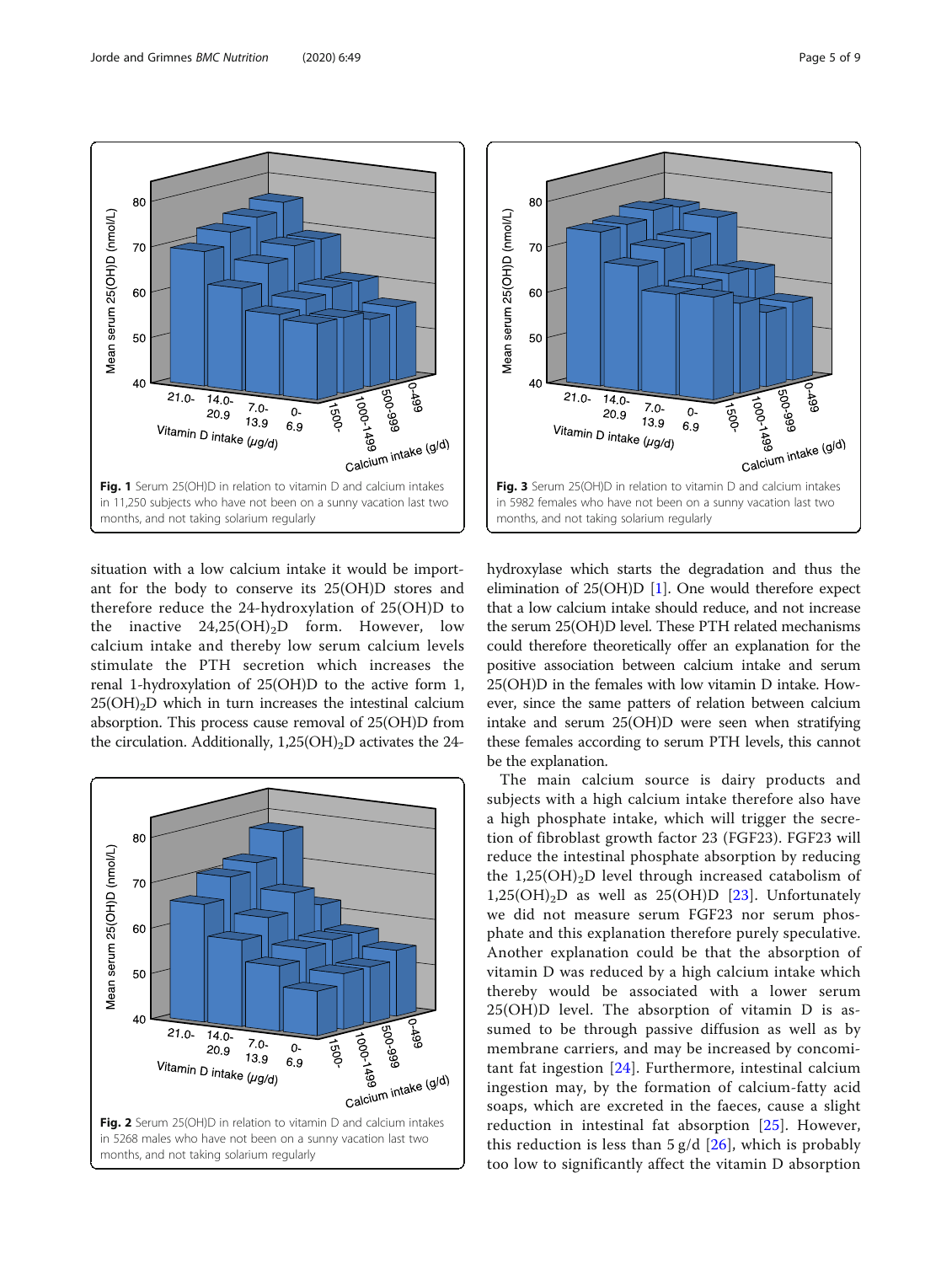<span id="page-4-0"></span>

situation with a low calcium intake it would be important for the body to conserve its 25(OH)D stores and therefore reduce the 24-hydroxylation of 25(OH)D to the inactive  $24,25(OH)_{2}D$  form. However, low calcium intake and thereby low serum calcium levels stimulate the PTH secretion which increases the renal 1-hydroxylation of 25(OH)D to the active form 1,  $25(OH)<sub>2</sub>D$  which in turn increases the intestinal calcium absorption. This process cause removal of 25(OH)D from the circulation. Additionally,  $1,25(OH)_2D$  activates the 24-





hydroxylase which starts the degradation and thus the elimination of  $25(OH)D$  [[1\]](#page-7-0). One would therefore expect that a low calcium intake should reduce, and not increase the serum 25(OH)D level. These PTH related mechanisms could therefore theoretically offer an explanation for the positive association between calcium intake and serum 25(OH)D in the females with low vitamin D intake. However, since the same patters of relation between calcium intake and serum 25(OH)D were seen when stratifying these females according to serum PTH levels, this cannot be the explanation.

The main calcium source is dairy products and subjects with a high calcium intake therefore also have a high phosphate intake, which will trigger the secretion of fibroblast growth factor 23 (FGF23). FGF23 will reduce the intestinal phosphate absorption by reducing the 1,25(OH)<sub>2</sub>D level through increased catabolism of  $1,25(OH)_{2}D$  as well as  $25(OH)D$  [[23\]](#page-8-0). Unfortunately we did not measure serum FGF23 nor serum phosphate and this explanation therefore purely speculative. Another explanation could be that the absorption of vitamin D was reduced by a high calcium intake which thereby would be associated with a lower serum 25(OH)D level. The absorption of vitamin D is assumed to be through passive diffusion as well as by membrane carriers, and may be increased by concomitant fat ingestion [[24\]](#page-8-0). Furthermore, intestinal calcium ingestion may, by the formation of calcium-fatty acid soaps, which are excreted in the faeces, cause a slight reduction in intestinal fat absorption [[25](#page-8-0)]. However, this reduction is less than  $5 g/d$  [[26\]](#page-8-0), which is probably too low to significantly affect the vitamin D absorption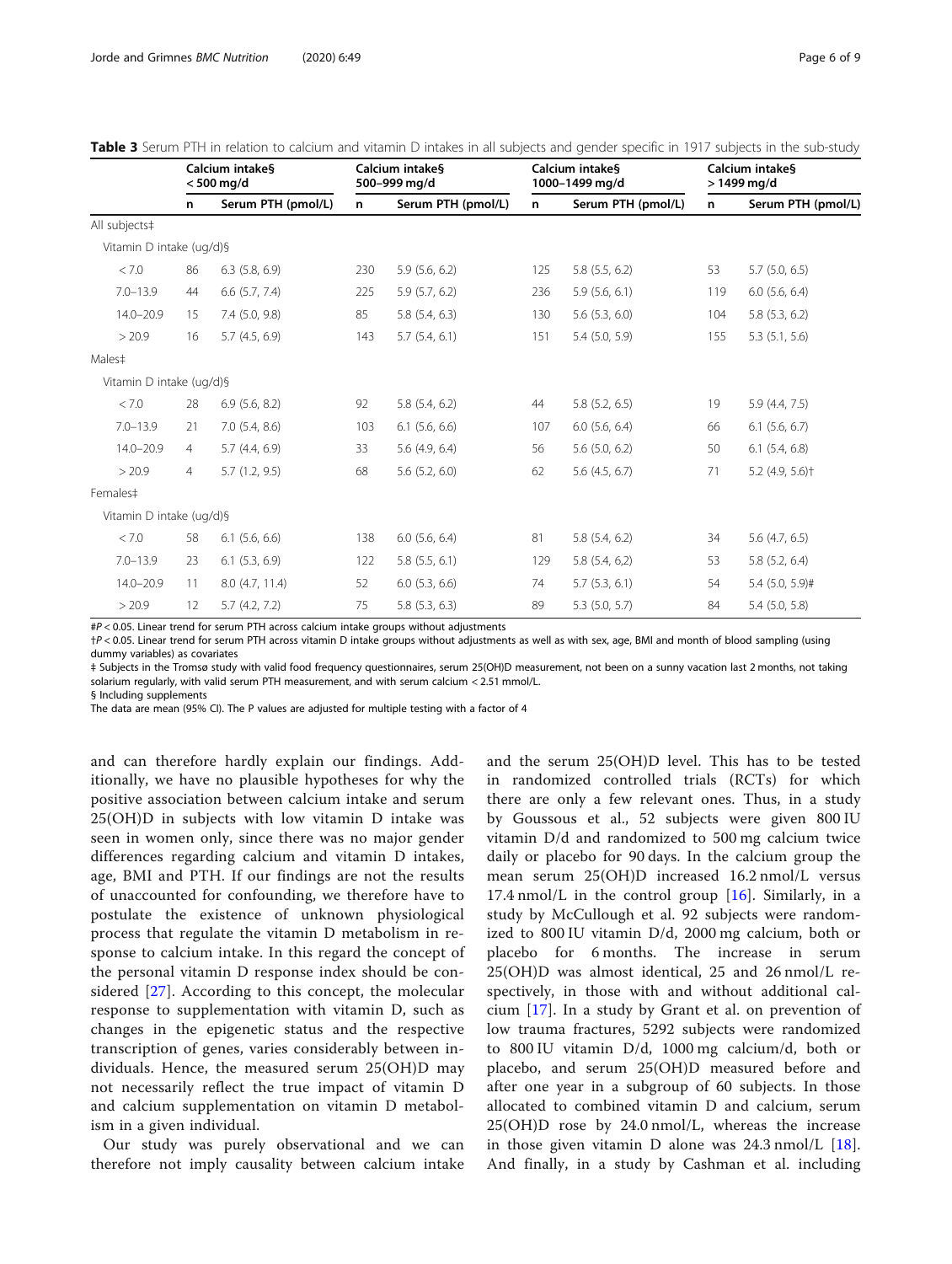|                          |                | Calcium intake§<br>$< 500$ mg/d |     | Calcium intake§<br>500-999 mg/d |     | Calcium intake§<br>1000-1499 mg/d |     | Calcium intakes<br>$>1499$ mg/d |  |
|--------------------------|----------------|---------------------------------|-----|---------------------------------|-----|-----------------------------------|-----|---------------------------------|--|
|                          | n              | Serum PTH (pmol/L)              | n   | Serum PTH (pmol/L)              | n   | Serum PTH (pmol/L)                | n   | Serum PTH (pmol/L)              |  |
| All subjects#            |                |                                 |     |                                 |     |                                   |     |                                 |  |
| Vitamin D intake (ug/d)§ |                |                                 |     |                                 |     |                                   |     |                                 |  |
| < 7.0                    | 86             | $6.3$ $(5.8, 6.9)$              | 230 | $5.9$ $(5.6, 6.2)$              | 125 | 5.8(5.5, 6.2)                     | 53  | $5.7$ (5.0, 6.5)                |  |
| $7.0 - 13.9$             | 44             | $6.6$ $(5.7, 7.4)$              | 225 | 5.9(5.7, 6.2)                   | 236 | $5.9$ $(5.6, 6.1)$                | 119 | $6.0$ (5.6, 6.4)                |  |
| $14.0 - 20.9$            | 15             | 7.4 (5.0, 9.8)                  | 85  | $5.8$ $(5.4, 6.3)$              | 130 | $5.6$ $(5.3, 6.0)$                | 104 | 5.8(5.3, 6.2)                   |  |
| > 20.9                   | 16             | 5.7(4.5, 6.9)                   | 143 | $5.7$ $(5.4, 6.1)$              | 151 | $5.4$ (5.0, 5.9)                  | 155 | $5.3$ $(5.1, 5.6)$              |  |
| Males#                   |                |                                 |     |                                 |     |                                   |     |                                 |  |
| Vitamin D intake (ug/d)§ |                |                                 |     |                                 |     |                                   |     |                                 |  |
| < 7.0                    | 28             | $6.9$ $(5.6, 8.2)$              | 92  | $5.8$ $(5.4, 6.2)$              | 44  | $5.8$ $(5.2, 6.5)$                | 19  | 5.9 (4.4, 7.5)                  |  |
| $7.0 - 13.9$             | 21             | $7.0$ $(5.4, 8.6)$              | 103 | $6.1$ (5.6, 6.6)                | 107 | $6.0$ $(5.6, 6.4)$                | 66  | $6.1$ (5.6, 6.7)                |  |
| $14.0 - 20.9$            | $\overline{4}$ | 5.7(4.4, 6.9)                   | 33  | 5.6 $(4.9, 6.4)$                | 56  | $5.6$ $(5.0, 6.2)$                | 50  | $6.1$ $(5.4, 6.8)$              |  |
| > 20.9                   | $\overline{4}$ | 5.7(1.2, 9.5)                   | 68  | $5.6$ $(5.2, 6.0)$              | 62  | $5.6$ (4.5, 6.7)                  | 71  | $5.2$ (4.9, 5.6) <sup>+</sup>   |  |
| Females#                 |                |                                 |     |                                 |     |                                   |     |                                 |  |
| Vitamin D intake (ug/d)§ |                |                                 |     |                                 |     |                                   |     |                                 |  |
| < 7.0                    | 58             | $6.1$ $(5.6, 6.6)$              | 138 | $6.0$ $(5.6, 6.4)$              | 81  | 5.8(5.4, 6.2)                     | 34  | $5.6$ (4.7, 6.5)                |  |
| $7.0 - 13.9$             | 23             | $6.1$ $(5.3, 6.9)$              | 122 | 5.8 (5.5, 6.1)                  | 129 | $5.8$ $(5.4, 6.2)$                | 53  | $5.8$ (5.2, 6.4)                |  |
| $14.0 - 20.9$            | 11             | 8.0 (4.7, 11.4)                 | 52  | $6.0$ $(5.3, 6.6)$              | 74  | $5.7$ $(5.3, 6.1)$                | 54  | $5.4$ (5.0, 5.9)#               |  |
| > 20.9                   | 12             | 5.7(4.2, 7.2)                   | 75  | $5.8$ $(5.3, 6.3)$              | 89  | $5.3$ (5.0, 5.7)                  | 84  | $5.4$ (5.0, 5.8)                |  |

<span id="page-5-0"></span>Table 3 Serum PTH in relation to calcium and vitamin D intakes in all subjects and gender specific in 1917 subjects in the sub-study

#P < 0.05. Linear trend for serum PTH across calcium intake groups without adjustments

†P < 0.05. Linear trend for serum PTH across vitamin D intake groups without adjustments as well as with sex, age, BMI and month of blood sampling (using dummy variables) as covariates

‡ Subjects in the Tromsø study with valid food frequency questionnaires, serum 25(OH)D measurement, not been on a sunny vacation last 2 months, not taking solarium regularly, with valid serum PTH measurement, and with serum calcium < 2.51 mmol/L.

§ Including supplements

The data are mean (95% CI). The P values are adjusted for multiple testing with a factor of 4

and can therefore hardly explain our findings. Additionally, we have no plausible hypotheses for why the positive association between calcium intake and serum 25(OH)D in subjects with low vitamin D intake was seen in women only, since there was no major gender differences regarding calcium and vitamin D intakes, age, BMI and PTH. If our findings are not the results of unaccounted for confounding, we therefore have to postulate the existence of unknown physiological process that regulate the vitamin D metabolism in response to calcium intake. In this regard the concept of the personal vitamin D response index should be considered [[27](#page-8-0)]. According to this concept, the molecular response to supplementation with vitamin D, such as changes in the epigenetic status and the respective transcription of genes, varies considerably between individuals. Hence, the measured serum 25(OH)D may not necessarily reflect the true impact of vitamin D and calcium supplementation on vitamin D metabolism in a given individual.

Our study was purely observational and we can therefore not imply causality between calcium intake and the serum 25(OH)D level. This has to be tested in randomized controlled trials (RCTs) for which there are only a few relevant ones. Thus, in a study by Goussous et al., 52 subjects were given 800 IU vitamin D/d and randomized to 500 mg calcium twice daily or placebo for 90 days. In the calcium group the mean serum 25(OH)D increased 16.2 nmol/L versus 17.4 nmol/L in the control group  $[16]$  $[16]$ . Similarly, in a study by McCullough et al. 92 subjects were randomized to 800 IU vitamin D/d, 2000 mg calcium, both or placebo for 6 months. The increase in serum 25(OH)D was almost identical, 25 and 26 nmol/L respectively, in those with and without additional calcium [[17\]](#page-8-0). In a study by Grant et al. on prevention of low trauma fractures, 5292 subjects were randomized to 800 IU vitamin D/d, 1000 mg calcium/d, both or placebo, and serum 25(OH)D measured before and after one year in a subgroup of 60 subjects. In those allocated to combined vitamin D and calcium, serum 25(OH)D rose by 24.0 nmol/L, whereas the increase in those given vitamin D alone was  $24.3 \text{ nmol/L}$  [\[18](#page-8-0)]. And finally, in a study by Cashman et al. including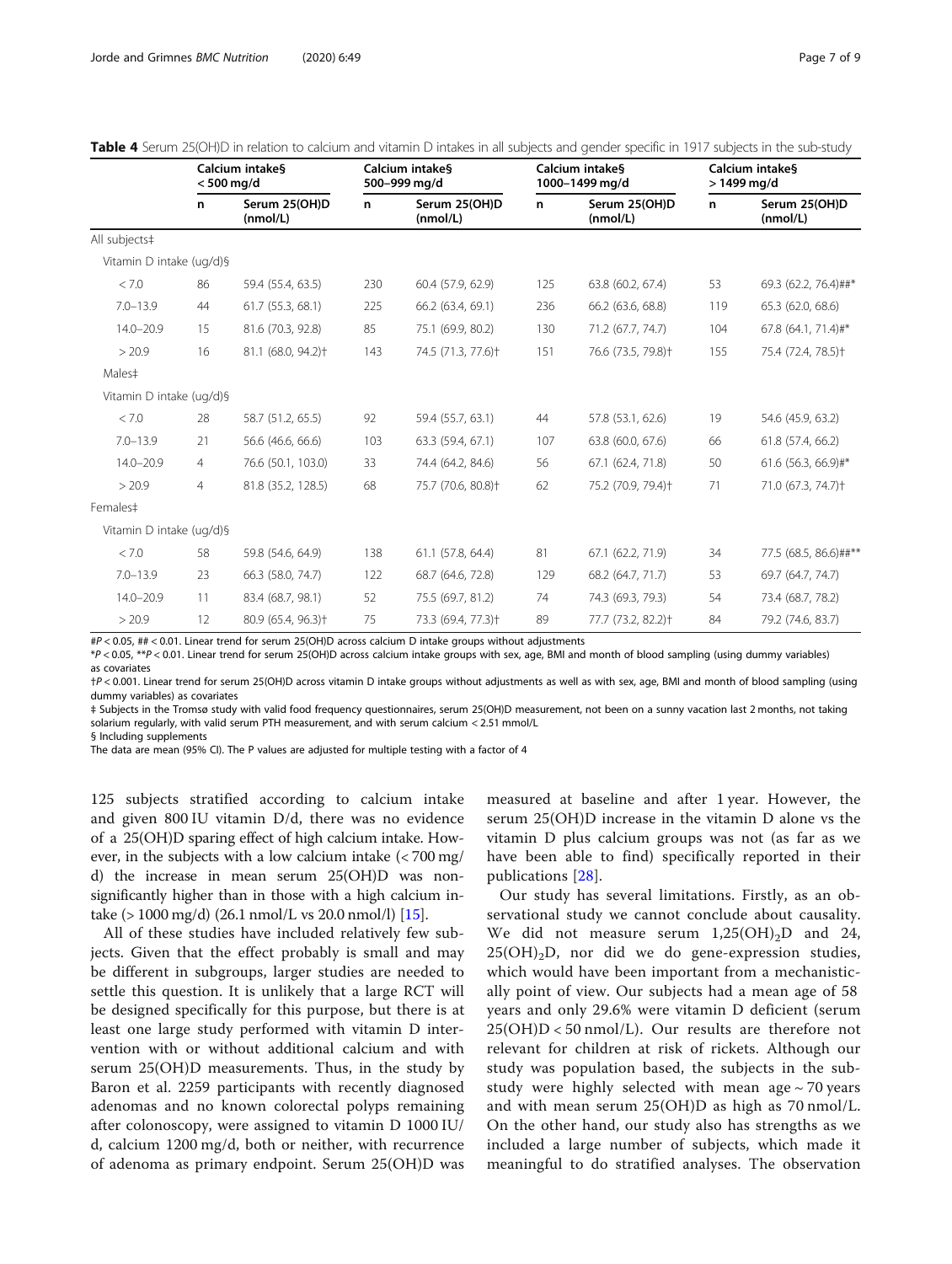|                          | Calcium intake§<br>$< 500$ mg/d |                                | Calcium intakes<br>500-999 mg/d |                                | Calcium intake§<br>1000-1499 mg/d |                                | Calcium intakes<br>$>1499$ mg/d |                                |
|--------------------------|---------------------------------|--------------------------------|---------------------------------|--------------------------------|-----------------------------------|--------------------------------|---------------------------------|--------------------------------|
|                          | n                               | Serum 25(OH)D<br>(mmol/L)      | n                               | Serum 25(OH)D<br>(mmol/L)      | n                                 | Serum 25(OH)D<br>(mmol/L)      | n                               | Serum 25(OH)D<br>(mmol/L)      |
| All subjects‡            |                                 |                                |                                 |                                |                                   |                                |                                 |                                |
| Vitamin D intake (ug/d)§ |                                 |                                |                                 |                                |                                   |                                |                                 |                                |
| < 7.0                    | 86                              | 59.4 (55.4, 63.5)              | 230                             | 60.4 (57.9, 62.9)              | 125                               | 63.8 (60.2, 67.4)              | 53                              | 69.3 (62.2, 76.4)##*           |
| $7.0 - 13.9$             | 44                              | 61.7 (55.3, 68.1)              | 225                             | 66.2 (63.4, 69.1)              | 236                               | 66.2 (63.6, 68.8)              | 119                             | 65.3 (62.0, 68.6)              |
| $14.0 - 20.9$            | 15                              | 81.6 (70.3, 92.8)              | 85                              | 75.1 (69.9, 80.2)              | 130                               | 71.2 (67.7, 74.7)              | 104                             | 67.8 (64.1, 71.4)#*            |
| > 20.9                   | 16                              | 81.1 (68.0, 94.2) <sup>+</sup> | 143                             | 74.5 (71.3, 77.6) <sup>+</sup> | 151                               | 76.6 (73.5, 79.8) <sup>+</sup> | 155                             | 75.4 (72.4, 78.5) <sup>+</sup> |
| Males#                   |                                 |                                |                                 |                                |                                   |                                |                                 |                                |
| Vitamin D intake (ug/d)§ |                                 |                                |                                 |                                |                                   |                                |                                 |                                |
| < 7.0                    | 28                              | 58.7 (51.2, 65.5)              | 92                              | 59.4 (55.7, 63.1)              | 44                                | 57.8 (53.1, 62.6)              | 19                              | 54.6 (45.9, 63.2)              |
| $7.0 - 13.9$             | 21                              | 56.6 (46.6, 66.6)              | 103                             | 63.3 (59.4, 67.1)              | 107                               | 63.8 (60.0, 67.6)              | 66                              | 61.8 (57.4, 66.2)              |
| $14.0 - 20.9$            | $\overline{4}$                  | 76.6 (50.1, 103.0)             | 33                              | 74.4 (64.2, 84.6)              | 56                                | 67.1 (62.4, 71.8)              | 50                              | 61.6 (56.3, 66.9)#*            |
| > 20.9                   | $\overline{4}$                  | 81.8 (35.2, 128.5)             | 68                              | 75.7 (70.6, 80.8) <sup>+</sup> | 62                                | 75.2 (70.9, 79.4) <sup>+</sup> | 71                              | 71.0 (67.3, 74.7) <sup>+</sup> |
| Females#                 |                                 |                                |                                 |                                |                                   |                                |                                 |                                |
| Vitamin D intake (ug/d)§ |                                 |                                |                                 |                                |                                   |                                |                                 |                                |
| < 7.0                    | 58                              | 59.8 (54.6, 64.9)              | 138                             | 61.1 (57.8, 64.4)              | 81                                | 67.1 (62.2, 71.9)              | 34                              | 77.5 (68.5, 86.6)##**          |
| $7.0 - 13.9$             | 23                              | 66.3 (58.0, 74.7)              | 122                             | 68.7 (64.6, 72.8)              | 129                               | 68.2 (64.7, 71.7)              | 53                              | 69.7 (64.7, 74.7)              |
| $14.0 - 20.9$            | 11                              | 83.4 (68.7, 98.1)              | 52                              | 75.5 (69.7, 81.2)              | 74                                | 74.3 (69.3, 79.3)              | 54                              | 73.4 (68.7, 78.2)              |
| > 20.9                   | 12                              | 80.9 (65.4, 96.3) <sup>+</sup> | 75                              | 73.3 (69.4, 77.3) <sup>+</sup> | 89                                | 77.7 (73.2, 82.2) <sup>+</sup> | 84                              | 79.2 (74.6, 83.7)              |

<span id="page-6-0"></span>Table 4 Serum 25(OH)D in relation to calcium and vitamin D intakes in all subjects and gender specific in 1917 subjects in the sub-study

#P < 0.05, ## < 0.01. Linear trend for serum 25(OH)D across calcium D intake groups without adjustments

\*P < 0.05, \*\*P < 0.01. Linear trend for serum 25(OH)D across calcium intake groups with sex, age, BMI and month of blood sampling (using dummy variables) as covariates

†P < 0.001. Linear trend for serum 25(OH)D across vitamin D intake groups without adjustments as well as with sex, age, BMI and month of blood sampling (using dummy variables) as covariates

‡ Subjects in the Tromsø study with valid food frequency questionnaires, serum 25(OH)D measurement, not been on a sunny vacation last 2 months, not taking solarium regularly, with valid serum PTH measurement, and with serum calcium < 2.51 mmol/L

§ Including supplements

The data are mean (95% CI). The P values are adjusted for multiple testing with a factor of 4

125 subjects stratified according to calcium intake and given 800 IU vitamin D/d, there was no evidence of a 25(OH)D sparing effect of high calcium intake. However, in the subjects with a low calcium intake (< 700 mg/ d) the increase in mean serum 25(OH)D was nonsignificantly higher than in those with a high calcium intake (> 1000 mg/d) (26.1 nmol/L vs 20.0 nmol/l) [\[15\]](#page-8-0).

All of these studies have included relatively few subjects. Given that the effect probably is small and may be different in subgroups, larger studies are needed to settle this question. It is unlikely that a large RCT will be designed specifically for this purpose, but there is at least one large study performed with vitamin D intervention with or without additional calcium and with serum 25(OH)D measurements. Thus, in the study by Baron et al. 2259 participants with recently diagnosed adenomas and no known colorectal polyps remaining after colonoscopy, were assigned to vitamin D 1000 IU/ d, calcium 1200 mg/d, both or neither, with recurrence of adenoma as primary endpoint. Serum 25(OH)D was

measured at baseline and after 1 year. However, the serum 25(OH)D increase in the vitamin D alone vs the vitamin D plus calcium groups was not (as far as we have been able to find) specifically reported in their publications [[28\]](#page-8-0).

Our study has several limitations. Firstly, as an observational study we cannot conclude about causality. We did not measure serum  $1,25(OH)_2D$  and 24,  $25(OH)<sub>2</sub>D$ , nor did we do gene-expression studies, which would have been important from a mechanistically point of view. Our subjects had a mean age of 58 years and only 29.6% were vitamin D deficient (serum  $25(OH)D < 50$  nmol/L). Our results are therefore not relevant for children at risk of rickets. Although our study was population based, the subjects in the substudy were highly selected with mean age  $\sim$  70 years and with mean serum 25(OH)D as high as 70 nmol/L. On the other hand, our study also has strengths as we included a large number of subjects, which made it meaningful to do stratified analyses. The observation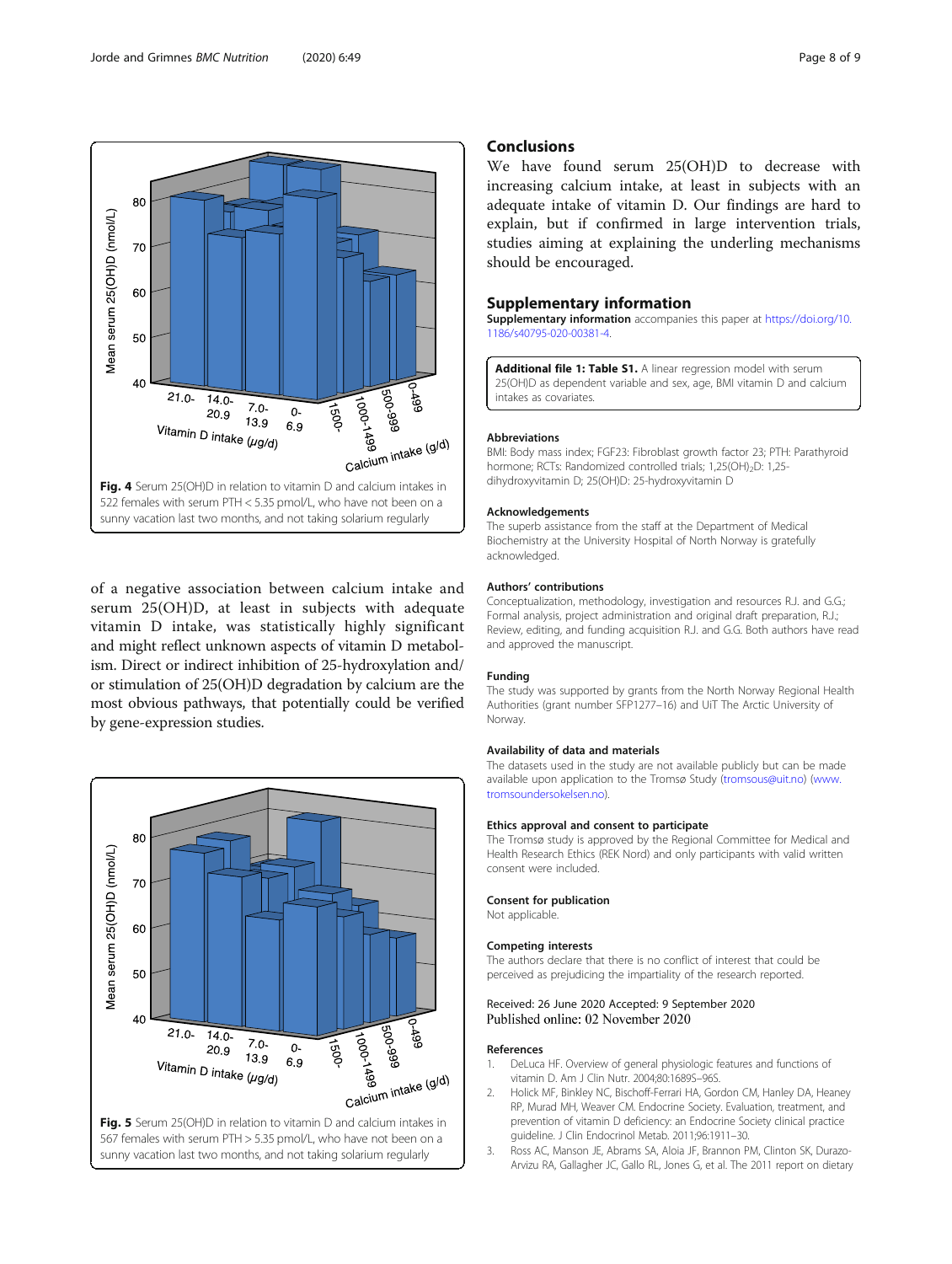<span id="page-7-0"></span>

of a negative association between calcium intake and serum 25(OH)D, at least in subjects with adequate vitamin D intake, was statistically highly significant and might reflect unknown aspects of vitamin D metabolism. Direct or indirect inhibition of 25-hydroxylation and/ or stimulation of 25(OH)D degradation by calcium are the most obvious pathways, that potentially could be verified by gene-expression studies.



## Conclusions

We have found serum 25(OH)D to decrease with increasing calcium intake, at least in subjects with an adequate intake of vitamin D. Our findings are hard to explain, but if confirmed in large intervention trials, studies aiming at explaining the underling mechanisms should be encouraged.

## Supplementary information

Supplementary information accompanies this paper at [https://doi.org/10.](https://doi.org/10.1186/s40795-020-00381-4) [1186/s40795-020-00381-4](https://doi.org/10.1186/s40795-020-00381-4).

Additional file 1: Table S1. A linear regression model with serum 25(OH)D as dependent variable and sex, age, BMI vitamin D and calcium intakes as covariates.

#### Abbreviations

BMI: Body mass index; FGF23: Fibroblast growth factor 23; PTH: Parathyroid hormone; RCTs: Randomized controlled trials; 1,25(OH)<sub>2</sub>D: 1,25dihydroxyvitamin D; 25(OH)D: 25-hydroxyvitamin D

#### Acknowledgements

The superb assistance from the staff at the Department of Medical Biochemistry at the University Hospital of North Norway is gratefully acknowledged.

## Authors' contributions

Conceptualization, methodology, investigation and resources R.J. and G.G.; Formal analysis, project administration and original draft preparation, R.J.; Review, editing, and funding acquisition R.J. and G.G. Both authors have read and approved the manuscript.

## Funding

The study was supported by grants from the North Norway Regional Health Authorities (grant number SFP1277–16) and UiT The Arctic University of Norway.

## Availability of data and materials

The datasets used in the study are not available publicly but can be made available upon application to the Tromsø Study ([tromsous@uit.no\)](mailto:tromsous@uit.no) [\(www.](http://www.tromsoundersokelsen.no) [tromsoundersokelsen.no](http://www.tromsoundersokelsen.no)).

## Ethics approval and consent to participate

The Tromsø study is approved by the Regional Committee for Medical and Health Research Ethics (REK Nord) and only participants with valid written consent were included.

#### Consent for publication

Not applicable.

### Competing interests

The authors declare that there is no conflict of interest that could be perceived as prejudicing the impartiality of the research reported.

## Received: 26 June 2020 Accepted: 9 September 2020 Published online: 02 November 2020

### References

- 1. DeLuca HF. Overview of general physiologic features and functions of vitamin D. Am J Clin Nutr. 2004;80:1689S–96S.
- 2. Holick MF, Binkley NC, Bischoff-Ferrari HA, Gordon CM, Hanley DA, Heaney RP, Murad MH, Weaver CM. Endocrine Society. Evaluation, treatment, and prevention of vitamin D deficiency: an Endocrine Society clinical practice guideline. J Clin Endocrinol Metab. 2011;96:1911–30.
- 3. Ross AC, Manson JE, Abrams SA, Aloia JF, Brannon PM, Clinton SK, Durazo-Arvizu RA, Gallagher JC, Gallo RL, Jones G, et al. The 2011 report on dietary